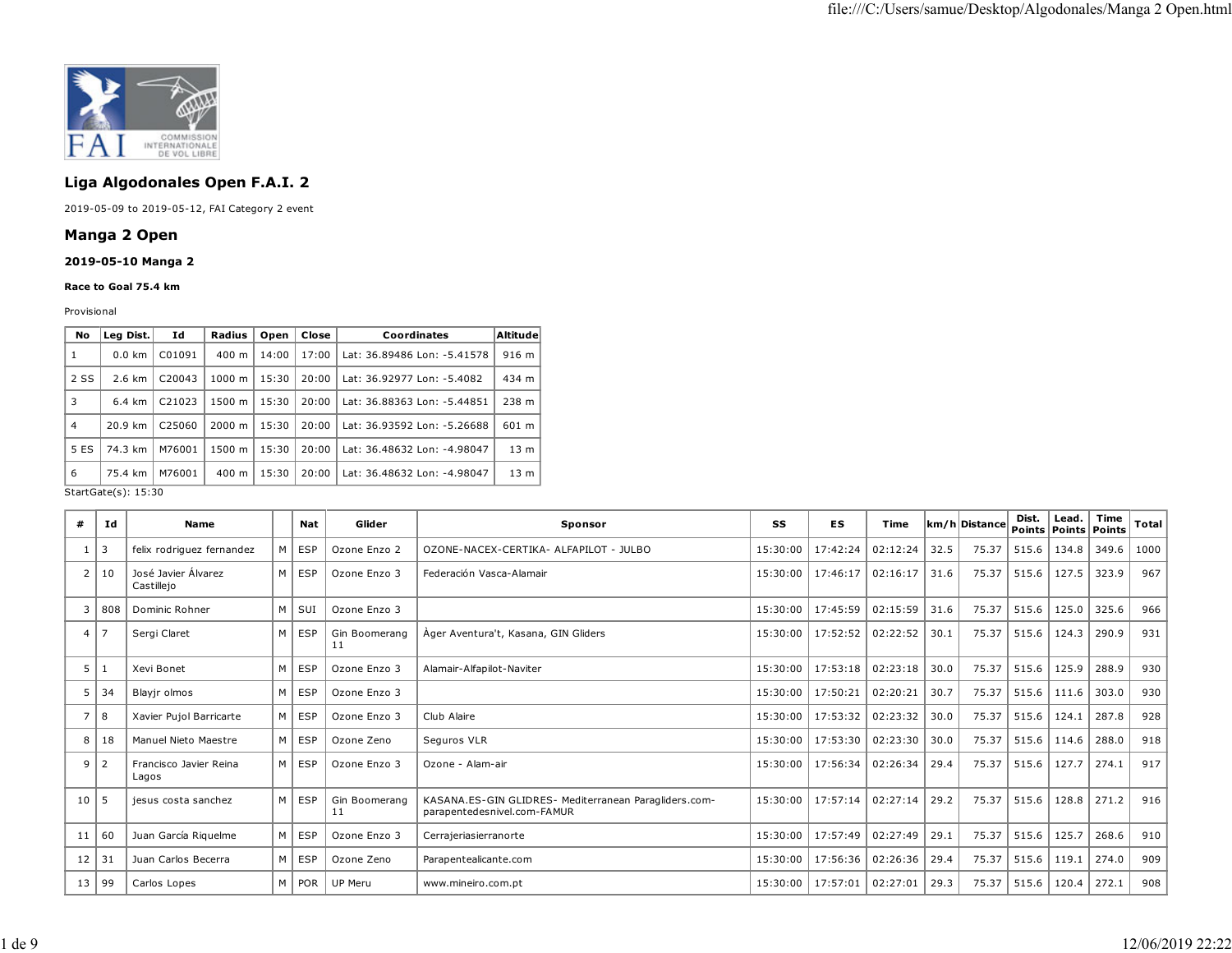

# **Liga Algodonales Open F.A.I. 2**

2019-05-09 to 2019-05-12, FAI Category 2 event

# **Manga 2 Open**

### **2019-05-10 Manga 2**

#### **Race to Goal 75.4 km**

Provisional

| Leg Dist.        | Id                 | Radius             | Open  | Close | Coordinates                 | Altitude        |
|------------------|--------------------|--------------------|-------|-------|-----------------------------|-----------------|
| $0.0$ km         | C01091             | $400 \text{ m}$    | 14:00 | 17:00 | Lat: 36.89486 Lon: -5.41578 | 916 m           |
| $2.6 \text{ km}$ | C <sub>20043</sub> | 1000 m             | 15:30 | 20:00 | Lat: 36.92977 Lon: -5.4082  | 434 m           |
| 6.4 km           | C <sub>21023</sub> | 1500 m             | 15:30 | 20:00 | Lat: 36.88363 Lon: -5.44851 | 238 m           |
| 20.9 km          | C <sub>25060</sub> | $2000 \; \text{m}$ | 15:30 | 20:00 | Lat: 36.93592 Lon: -5.26688 | 601 m           |
| 74.3 km          | M76001             | 1500 m             | 15:30 | 20:00 | Lat: 36.48632 Lon: -4.98047 | 13 <sub>m</sub> |
| 75.4 km          | M76001             | $400 \text{ m}$    | 15:30 | 20:00 | Lat: 36.48632 Lon: -4.98047 | 13 <sub>m</sub> |
|                  |                    |                    |       |       |                             |                 |

### StartGate(s): 15:30

| #              | Ιd             | <b>Name</b>                       |                | Nat           | Glider              | Sponsor                                                                              | SS       | <b>ES</b>           | Time     |      | km/h Distance | Dist. | Lead.<br>Points   Points   Points | Time  | Total |
|----------------|----------------|-----------------------------------|----------------|---------------|---------------------|--------------------------------------------------------------------------------------|----------|---------------------|----------|------|---------------|-------|-----------------------------------|-------|-------|
|                | 3              | felix rodriguez fernandez         | M I            | ESP           | Ozone Enzo 2        | OZONE-NACEX-CERTIKA- ALFAPILOT - JULBO                                               | 15:30:00 | 17:42:24            | 02:12:24 | 32.5 | 75.37         | 515.6 | 134.8                             | 349.6 | 1000  |
| -2             | 10             | José Javier Álvarez<br>Castillejo | M <sub>1</sub> | ESP           | Ozone Enzo 3        | Federación Vasca-Alamair                                                             | 15:30:00 | 17:46:17            | 02:16:17 | 31.6 | 75.37         | 515.6 | 127.5                             | 323.9 | 967   |
| 3              | 808            | Dominic Rohner                    | M              | SUI           | Ozone Enzo 3        |                                                                                      | 15:30:00 | 17:45:59            | 02:15:59 | 31.6 | 75.37         | 515.6 | 125.0                             | 325.6 | 966   |
| $\overline{4}$ | $\overline{7}$ | Sergi Claret                      | M I            | ESP           | Gin Boomerang<br>11 | Ager Aventura't, Kasana, GIN Gliders                                                 | 15:30:00 | 17:52:52 02:22:52   |          | 30.1 | 75.37         | 515.6 | 124.3                             | 290.9 | 931   |
| 5              | -1             | Xevi Bonet                        | M              | ESP           | Ozone Enzo 3        | Alamair-Alfapilot-Naviter                                                            | 15:30:00 | 17:53:18            | 02:23:18 | 30.0 | 75.37         | 515.6 | 125.9                             | 288.9 | 930   |
| 5              | 34             | Blayjr olmos                      | M <sub>1</sub> | ESP           | Ozone Enzo 3        |                                                                                      | 15:30:00 | 17:50:21            | 02:20:21 | 30.7 | 75.37         | 515.6 | 111.6                             | 303.0 | 930   |
|                | 8              | Xavier Pujol Barricarte           |                | $M \vert$ ESP | Ozone Enzo 3        | Club Alaire                                                                          | 15:30:00 | 17:53:32 02:23:32   |          | 30.0 | 75.37         | 515.6 | 124.1                             | 287.8 | 928   |
| 8              | 18             | Manuel Nieto Maestre              |                | $M \mid ESP$  | Ozone Zeno          | Seguros VLR                                                                          | 15:30:00 | 17:53:30            | 02:23:30 | 30.0 | 75.37         | 515.6 | 114.6                             | 288.0 | 918   |
| 9              | 2              | Francisco Javier Reina<br>Lagos   |                | M ESP         | Ozone Enzo 3        | Ozone - Alam-air                                                                     | 15:30:00 | 17:56:34            | 02:26:34 | 29.4 | 75.37         | 515.6 | 127.7                             | 274.1 | 917   |
| 10             | 5              | jesus costa sanchez               | M <sub>1</sub> | ESP           | Gin Boomerang<br>11 | KASANA.ES-GIN GLIDRES- Mediterranean Paragliders.com-<br>parapentedesnivel.com-FAMUR | 15:30:00 | 17:57:14            | 02:27:14 | 29.2 | 75.37         | 515.6 | 128.8                             | 271.2 | 916   |
| 11             | 60             | Juan García Riguelme              | M <sub>1</sub> | ESP           | Ozone Enzo 3        | Cerrajeriasierranorte                                                                | 15:30:00 | 17:57:49 02:27:49   |          | 29.1 | 75.37         | 515.6 | 125.7                             | 268.6 | 910   |
| 12             | 31             | Juan Carlos Becerra               |                | $M \mid ESP$  | Ozone Zeno          | Parapentealicante.com                                                                | 15:30:00 | 17:56:36   02:26:36 |          | 29.4 | 75.37         | 515.6 | 119.1                             | 274.0 | 909   |
| 13             | 99             | Carlos Lopes                      |                | $M \mid POR$  | UP Meru             | www.mineiro.com.pt                                                                   | 15:30:00 | 17:57:01            | 02:27:01 | 29.3 | 75.37         | 515.6 | 120.4                             | 272.1 | 908   |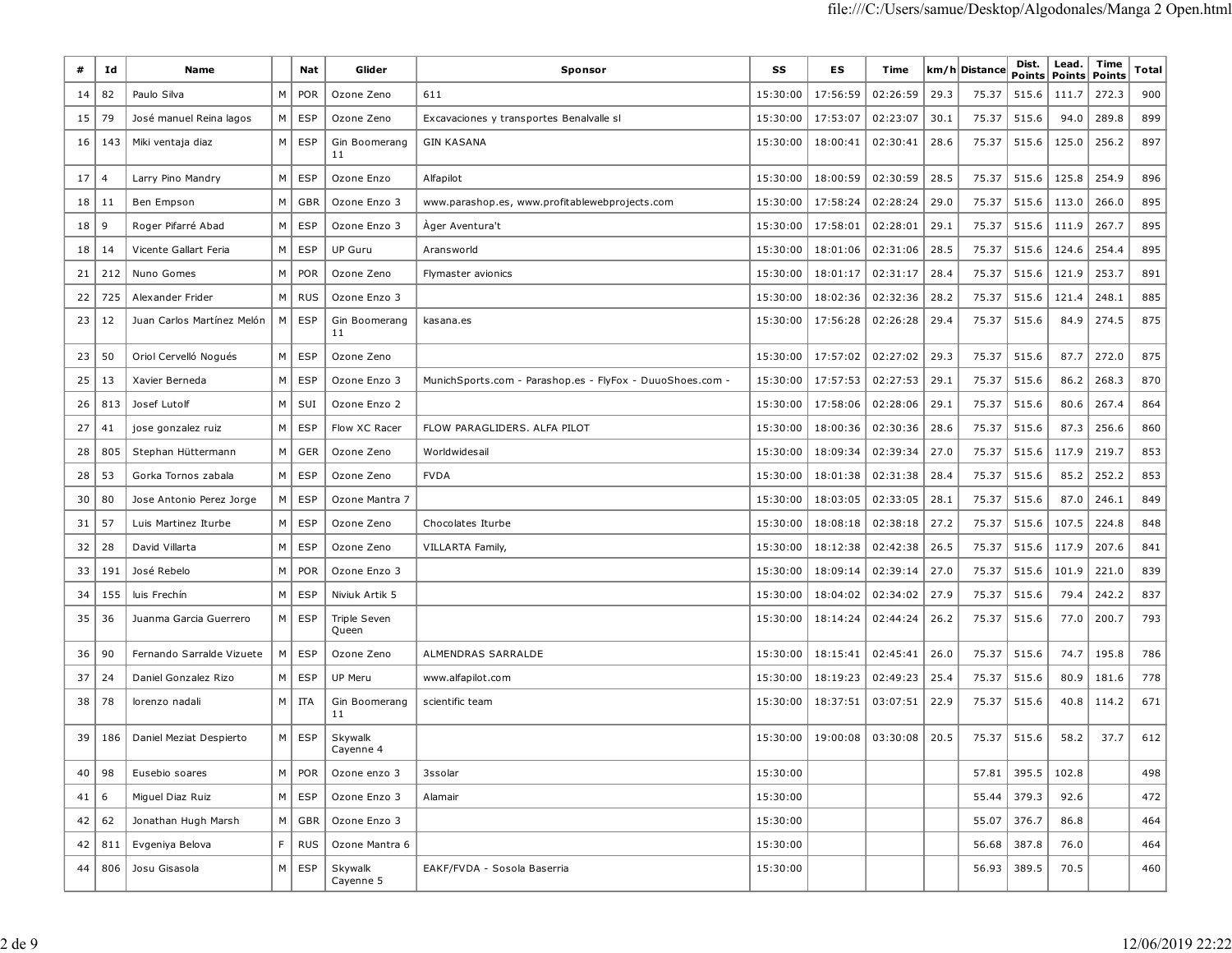| #  | Ιd             | Name                       |             | Nat        | Glider                | Sponsor                                                   | SS       | ES       | Time     |      | km/h Distance | Dist.<br>Points | Lead.<br><b>Points</b> | Time<br><b>Points</b> | Total |
|----|----------------|----------------------------|-------------|------------|-----------------------|-----------------------------------------------------------|----------|----------|----------|------|---------------|-----------------|------------------------|-----------------------|-------|
| 14 | 82             | Paulo Silva                | M           | <b>POR</b> | Ozone Zeno            | 611                                                       | 15:30:00 | 17:56:59 | 02:26:59 | 29.3 | 75.37         | 515.6           | 111.7                  | 272.3                 | 900   |
| 15 | 79             | José manuel Reina lagos    | M           | ESP        | Ozone Zeno            | Excavaciones y transportes Benalvalle sl                  | 15:30:00 | 17:53:07 | 02:23:07 | 30.1 | 75.37         | 515.6           | 94.0                   | 289.8                 | 899   |
| 16 | 143            | Miki ventaja diaz          | M           | <b>ESP</b> | Gin Boomerang<br>11   | <b>GIN KASANA</b>                                         | 15:30:00 | 18:00:41 | 02:30:41 | 28.6 | 75.37         | 515.6           | 125.0                  | 256.2                 | 897   |
| 17 | $\overline{a}$ | Larry Pino Mandry          | M           | ESP        | Ozone Enzo            | Alfapilot                                                 | 15:30:00 | 18:00:59 | 02:30:59 | 28.5 | 75.37         | 515.6           | 125.8                  | 254.9                 | 896   |
| 18 | 11             | Ben Empson                 | M           | GBR        | Ozone Enzo 3          | www.parashop.es, www.profitablewebprojects.com            | 15:30:00 | 17:58:24 | 02:28:24 | 29.0 | 75.37         | 515.6           | 113.0                  | 266.0                 | 895   |
| 18 | 9              | Roger Pifarré Abad         | M           | ESP        | Ozone Enzo 3          | Ager Aventura't                                           | 15:30:00 | 17:58:01 | 02:28:01 | 29.1 | 75.37         | 515.6           | 111.9                  | 267.7                 | 895   |
| 18 | 14             | Vicente Gallart Feria      | М           | <b>ESP</b> | <b>UP Guru</b>        | Aransworld                                                | 15:30:00 | 18:01:06 | 02:31:06 | 28.5 | 75.37         | 515.6           | 124.6                  | 254.4                 | 895   |
| 21 | 212            | Nuno Gomes                 | M           | <b>POR</b> | Ozone Zeno            | Flymaster avionics                                        | 15:30:00 | 18:01:17 | 02:31:17 | 28.4 | 75.37         | 515.6           | 121.9                  | 253.7                 | 891   |
| 22 | 725            | Alexander Frider           | M           | <b>RUS</b> | Ozone Enzo 3          |                                                           | 15:30:00 | 18:02:36 | 02:32:36 | 28.2 | 75.37         | 515.6           | 121.4                  | 248.1                 | 885   |
| 23 | 12             | Juan Carlos Martínez Melón | м           | <b>ESP</b> | Gin Boomerang<br>11   | kasana.es                                                 | 15:30:00 | 17:56:28 | 02:26:28 | 29.4 | 75.37         | 515.6           | 84.9                   | 274.5                 | 875   |
| 23 | 50             | Oriol Cervelló Nogués      | M           | ESP        | Ozone Zeno            |                                                           | 15:30:00 | 17:57:02 | 02:27:02 | 29.3 | 75.37         | 515.6           | 87.7                   | 272.0                 | 875   |
| 25 | 13             | Xavier Berneda             | M           | <b>ESP</b> | Ozone Enzo 3          | MunichSports.com - Parashop.es - FlyFox - DuuoShoes.com - | 15:30:00 | 17:57:53 | 02:27:53 | 29.1 | 75.37         | 515.6           | 86.2                   | 268.3                 | 870   |
| 26 | 813            | Josef Lutolf               | M           | SUI        | Ozone Enzo 2          |                                                           | 15:30:00 | 17:58:06 | 02:28:06 | 29.1 | 75.37         | 515.6           | 80.6                   | 267.4                 | 864   |
| 27 | 41             | jose gonzalez ruiz         | М           | ESP        | Flow XC Racer         | FLOW PARAGLIDERS. ALFA PILOT                              | 15:30:00 | 18:00:36 | 02:30:36 | 28.6 | 75.37         | 515.6           | 87.3                   | 256.6                 | 860   |
| 28 | 805            | Stephan Hüttermann         | М           | GER        | Ozone Zeno            | Worldwidesail                                             | 15:30:00 | 18:09:34 | 02:39:34 | 27.0 | 75.37         | 515.6           | 117.9                  | 219.7                 | 853   |
| 28 | 53             | Gorka Tornos zabala        | M           | ESP        | Ozone Zeno            | <b>FVDA</b>                                               | 15:30:00 | 18:01:38 | 02:31:38 | 28.4 | 75.37         | 515.6           | 85.2                   | 252.2                 | 853   |
| 30 | 80             | Jose Antonio Perez Jorge   | M           | <b>ESP</b> | Ozone Mantra 7        |                                                           | 15:30:00 | 18:03:05 | 02:33:05 | 28.1 | 75.37         | 515.6           | 87.0                   | 246.1                 | 849   |
| 31 | 57             | Luis Martinez Iturbe       | M           | ESP        | Ozone Zeno            | Chocolates Iturbe                                         | 15:30:00 | 18:08:18 | 02:38:18 | 27.2 | 75.37         | 515.6           | 107.5                  | 224.8                 | 848   |
| 32 | 28             | David Villarta             | M           | <b>ESP</b> | Ozone Zeno            | VILLARTA Family,                                          | 15:30:00 | 18:12:38 | 02:42:38 | 26.5 | 75.37         | 515.6           | 117.9                  | 207.6                 | 841   |
| 33 | 191            | José Rebelo                | M           | POR        | Ozone Enzo 3          |                                                           | 15:30:00 | 18:09:14 | 02:39:14 | 27.0 | 75.37         | 515.6           | 101.9                  | 221.0                 | 839   |
| 34 | 155            | luis Frechín               | M           | <b>ESP</b> | Niviuk Artik 5        |                                                           | 15:30:00 | 18:04:02 | 02:34:02 | 27.9 | 75.37         | 515.6           | 79.4                   | 242.2                 | 837   |
| 35 | 36             | Juanma Garcia Guerrero     | М           | <b>ESP</b> | Triple Seven<br>Queen |                                                           | 15:30:00 | 18:14:24 | 02:44:24 | 26.2 | 75.37         | 515.6           | 77.0                   | 200.7                 | 793   |
| 36 | 90             | Fernando Sarralde Vizuete  |             | ESP        | Ozone Zeno            | ALMENDRAS SARRALDE                                        | 15:30:00 | 18:15:41 | 02:45:41 | 26.0 | 75.37         | 515.6           | 74.7                   | 195.8                 | 786   |
| 37 | 24             | Daniel Gonzalez Rizo       | M           | ESP        | UP Meru               | www.alfapilot.com                                         | 15:30:00 | 18:19:23 | 02:49:23 | 25.4 | 75.37         | 515.6           | 80.9                   | 181.6                 | 778   |
| 38 | 78             | lorenzo nadali             | M           | ITA        | Gin Boomerang<br>11   | scientific team                                           | 15:30:00 | 18:37:51 | 03:07:51 | 22.9 | 75.37         | 515.6           | 40.8                   | 114.2                 | 671   |
| 39 | 186            | Daniel Meziat Despierto    | М           | ESP        | Skywalk<br>Cayenne 4  |                                                           | 15:30:00 | 19:00:08 | 03:30:08 | 20.5 | 75.37         | 515.6           | 58.2                   | 37.7                  | 612   |
| 40 | 98             | Eusebio soares             | M           | POR        | Ozone enzo 3          | 3ssolar                                                   | 15:30:00 |          |          |      | 57.81         | 395.5           | 102.8                  |                       | 498   |
| 41 | 6              | Miguel Diaz Ruiz           | M           | ESP        | Ozone Enzo 3          | Alamair                                                   | 15:30:00 |          |          |      | 55.44         | 379.3           | 92.6                   |                       | 472   |
| 42 | 62             | Jonathan Hugh Marsh        | M           | GBR        | Ozone Enzo 3          |                                                           | 15:30:00 |          |          |      | 55.07         | 376.7           | 86.8                   |                       | 464   |
| 42 | 811            | Evgeniya Belova            | $\mathsf F$ | <b>RUS</b> | Ozone Mantra 6        |                                                           | 15:30:00 |          |          |      | 56.68         | 387.8           | 76.0                   |                       | 464   |
| 44 | 806            | Josu Gisasola              | M           | ESP        | Skywalk<br>Cayenne 5  | EAKF/FVDA - Sosola Baserria                               | 15:30:00 |          |          |      | 56.93         | 389.5           | 70.5                   |                       | 460   |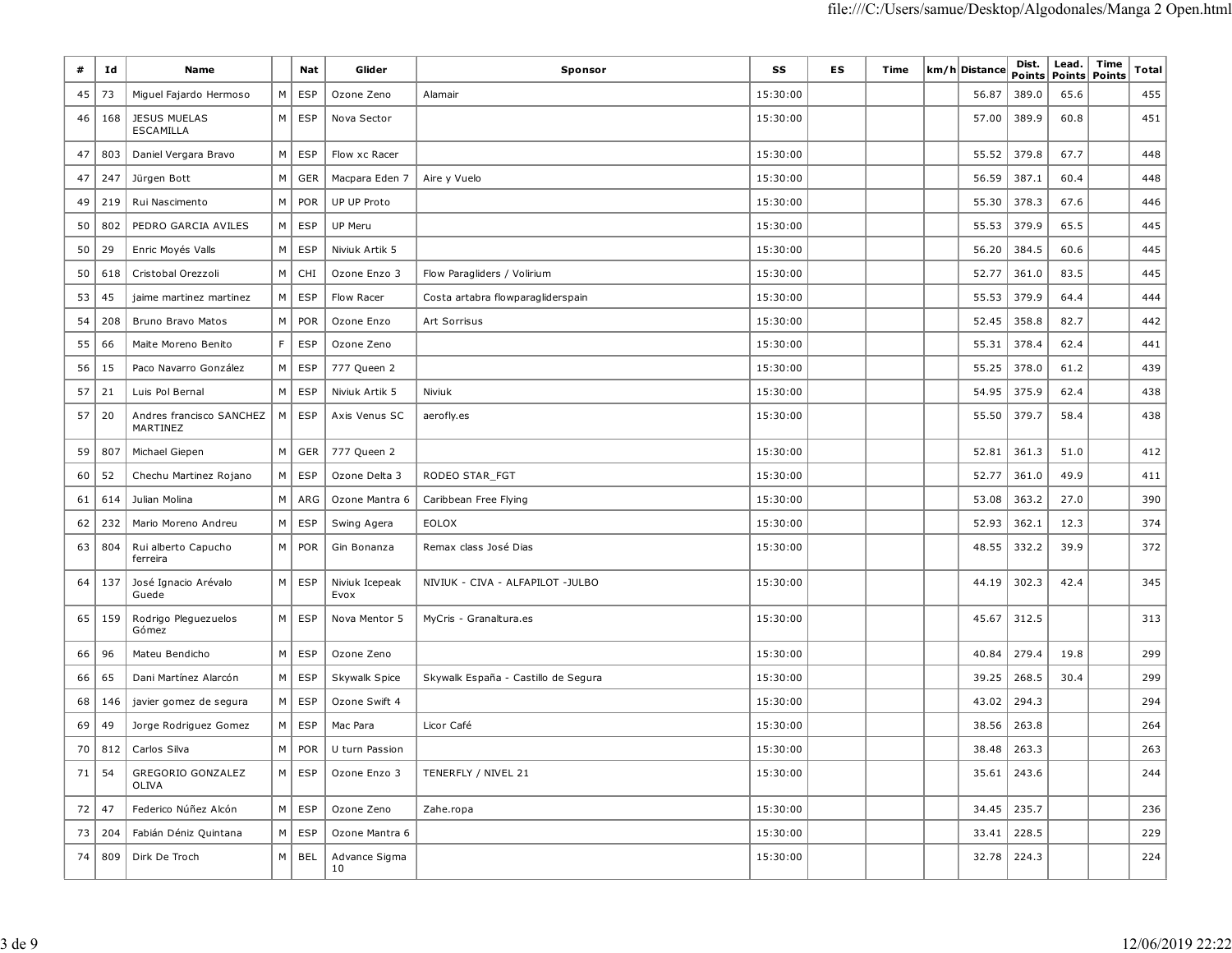| #  | Id    | Name                                    |                | Nat           | Glider                 | Sponsor                             | SS       | ES | Time | km/h Distance | Dist.<br>Points | Lead.<br>Points Points | Time | Total |
|----|-------|-----------------------------------------|----------------|---------------|------------------------|-------------------------------------|----------|----|------|---------------|-----------------|------------------------|------|-------|
| 45 | 73    | Miguel Fajardo Hermoso                  | M              | ESP           | Ozone Zeno             | Alamair                             | 15:30:00 |    |      | 56.87         | 389.0           | 65.6                   |      | 455   |
| 46 | 168   | <b>JESUS MUELAS</b><br><b>ESCAMILLA</b> |                | $M \vert$ ESP | Nova Sector            |                                     | 15:30:00 |    |      | 57.00         | 389.9           | 60.8                   |      | 451   |
| 47 | 803   | Daniel Vergara Bravo                    | M              | <b>ESP</b>    | Flow xc Racer          |                                     | 15:30:00 |    |      | 55.52         | 379.8           | 67.7                   |      | 448   |
| 47 | 247   | Jürgen Bott                             | M              | GER           | Macpara Eden 7         | Aire y Vuelo                        | 15:30:00 |    |      | 56.59         | 387.1           | 60.4                   |      | 448   |
| 49 | 219   | Rui Nascimento                          | M              | POR           | UP UP Proto            |                                     | 15:30:00 |    |      | 55.30         | 378.3           | 67.6                   |      | 446   |
| 50 | 802   | PEDRO GARCIA AVILES                     | M              | ESP           | UP Meru                |                                     | 15:30:00 |    |      | 55.53         | 379.9           | 65.5                   |      | 445   |
| 50 | 29    | Enric Moyés Valls                       | M              | <b>ESP</b>    | Niviuk Artik 5         |                                     | 15:30:00 |    |      | 56.20         | 384.5           | 60.6                   |      | 445   |
| 50 | 618   | Cristobal Orezzoli                      | M              | <b>CHI</b>    | Ozone Enzo 3           | Flow Paragliders / Volirium         | 15:30:00 |    |      | 52.77         | 361.0           | 83.5                   |      | 445   |
| 53 | 45    | jaime martinez martinez                 | M              | ESP           | Flow Racer             | Costa artabra flowparagliderspain   | 15:30:00 |    |      | 55.53         | 379.9           | 64.4                   |      | 444   |
| 54 | 208   | Bruno Bravo Matos                       | M              | POR           | Ozone Enzo             | Art Sorrisus                        | 15:30:00 |    |      | 52.45         | 358.8           | 82.7                   |      | 442   |
| 55 | 66    | Maite Moreno Benito                     | F              | <b>ESP</b>    | Ozone Zeno             |                                     | 15:30:00 |    |      | 55.31         | 378.4           | 62.4                   |      | 441   |
| 56 | 15    | Paco Navarro González                   | $M \mid$       | ESP           | 777 Queen 2            |                                     | 15:30:00 |    |      | 55.25         | 378.0           | 61.2                   |      | 439   |
| 57 | 21    | Luis Pol Bernal                         | M              | <b>ESP</b>    | Niviuk Artik 5         | Niviuk                              | 15:30:00 |    |      | 54.95         | 375.9           | 62.4                   |      | 438   |
| 57 | 20    | Andres francisco SANCHEZ<br>MARTINEZ    | $M \mid$       | <b>ESP</b>    | Axis Venus SC          | aerofly.es                          | 15:30:00 |    |      | 55.50         | 379.7           | 58.4                   |      | 438   |
| 59 | 807   | Michael Giepen                          | M              | GER           | 777 Queen 2            |                                     | 15:30:00 |    |      | 52.81         | 361.3           | 51.0                   |      | 412   |
| 60 | 52    | Chechu Martinez Rojano                  | M              | ESP           | Ozone Delta 3          | RODEO STAR FGT                      | 15:30:00 |    |      | 52.77         | 361.0           | 49.9                   |      | 411   |
| 61 | 614   | Julian Molina                           | M              | ARG           | Ozone Mantra 6         | Caribbean Free Flying               | 15:30:00 |    |      | 53.08         | 363.2           | 27.0                   |      | 390   |
| 62 | 232   | Mario Moreno Andreu                     | M              | ESP           | Swing Agera            | EOLOX                               | 15:30:00 |    |      | 52.93         | 362.1           | 12.3                   |      | 374   |
| 63 | 804   | Rui alberto Capucho<br>ferreira         |                | $M \mid POR$  | Gin Bonanza            | Remax class José Dias               | 15:30:00 |    |      | 48.55         | 332.2           | 39.9                   |      | 372   |
| 64 | 137   | José Ignacio Arévalo<br>Guede           | M <sub>1</sub> | <b>ESP</b>    | Niviuk Icepeak<br>Evox | NIVIUK - CIVA - ALFAPILOT -JULBO    | 15:30:00 |    |      | 44.19         | 302.3           | 42.4                   |      | 345   |
| 65 | 159   | Rodrigo Pleguezuelos<br>Gómez           | M              | <b>ESP</b>    | Nova Mentor 5          | MyCris - Granaltura.es              | 15:30:00 |    |      | 45.67         | 312.5           |                        |      | 313   |
| 66 | 96    | Mateu Bendicho                          | M              | <b>ESP</b>    | Ozone Zeno             |                                     | 15:30:00 |    |      | 40.84         | 279.4           | 19.8                   |      | 299   |
| 66 | 65    | Dani Martínez Alarcón                   |                | $M \vert$ ESP | Skywalk Spice          | Skywalk España - Castillo de Segura | 15:30:00 |    |      | 39.25         | 268.5           | 30.4                   |      | 299   |
| 68 | 146   | javier gomez de segura                  |                | $M \vert$ ESP | Ozone Swift 4          |                                     | 15:30:00 |    |      | 43.02         | 294.3           |                        |      | 294   |
| 69 | 49    | Jorge Rodriguez Gomez                   | M              | <b>ESP</b>    | Mac Para               | Licor Café                          | 15:30:00 |    |      | 38.56         | 263.8           |                        |      | 264   |
| 70 | 812   | Carlos Silva                            | M <sub>1</sub> | POR           | U turn Passion         |                                     | 15:30:00 |    |      |               | 38.48 263.3     |                        |      | 263   |
|    | 71 54 | GREGORIO GONZALEZ<br>OLIVA              |                | $M \vert$ ESP | Ozone Enzo 3           | TENERFLY / NIVEL 21                 | 15:30:00 |    |      | 35.61         | 243.6           |                        |      | 244   |
| 72 | 47    | Federico Núñez Alcón                    |                | $M \vert$ ESP | Ozone Zeno             | Zahe.ropa                           | 15:30:00 |    |      |               | 34.45 235.7     |                        |      | 236   |
| 73 | 204   | Fabián Déniz Quintana                   |                | M   ESP       | Ozone Mantra 6         |                                     | 15:30:00 |    |      |               | 33.41   228.5   |                        |      | 229   |
| 74 | 809   | Dirk De Troch                           |                | $M \vert BEL$ | Advance Sigma<br>10    |                                     | 15:30:00 |    |      | 32.78         | 224.3           |                        |      | 224   |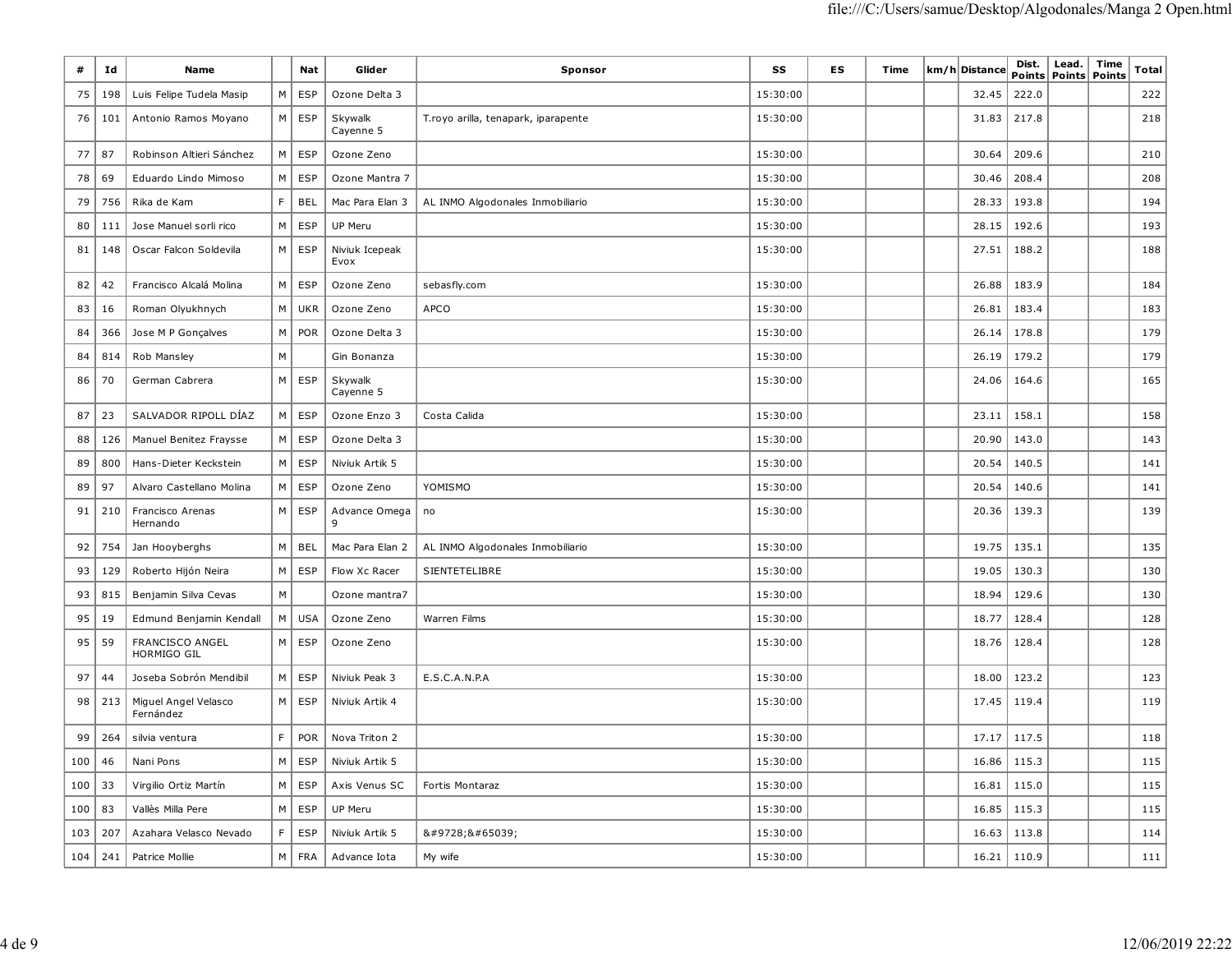| #   | Id  | Name                                  |                | <b>Nat</b> | Glider                 | Sponsor                             | SS       | ES | Time | km/h Distance | Dist.<br>Points | Lead.<br>Points Points | Time | Total |
|-----|-----|---------------------------------------|----------------|------------|------------------------|-------------------------------------|----------|----|------|---------------|-----------------|------------------------|------|-------|
| 75  | 198 | Luis Felipe Tudela Masip              | M              | ESP        | Ozone Delta 3          |                                     | 15:30:00 |    |      | 32.45         | 222.0           |                        |      | 222   |
| 76  | 101 | Antonio Ramos Moyano                  | M <sub>1</sub> | ESP        | Skywalk<br>Cayenne 5   | T.royo arilla, tenapark, iparapente | 15:30:00 |    |      | 31.83         | 217.8           |                        |      | 218   |
| 77  | 87  | Robinson Altieri Sánchez              | M              | ESP        | Ozone Zeno             |                                     | 15:30:00 |    |      | 30.64         | 209.6           |                        |      | 210   |
| 78  | 69  | Eduardo Lindo Mimoso                  | M              | ESP        | Ozone Mantra 7         |                                     | 15:30:00 |    |      | 30.46         | 208.4           |                        |      | 208   |
| 79  | 756 | Rika de Kam                           | F              | <b>BEL</b> | Mac Para Elan 3        | AL INMO Algodonales Inmobiliario    | 15:30:00 |    |      | 28.33         | 193.8           |                        |      | 194   |
| 80  | 111 | Jose Manuel sorli rico                | M              | <b>ESP</b> | <b>UP Meru</b>         |                                     | 15:30:00 |    |      | 28.15         | 192.6           |                        |      | 193   |
| 81  | 148 | Oscar Falcon Soldevila                | M              | ESP        | Niviuk Icepeak<br>Evox |                                     | 15:30:00 |    |      | 27.51         | 188.2           |                        |      | 188   |
| 82  | 42  | Francisco Alcalá Molina               | M              | ESP        | Ozone Zeno             | sebasfly.com                        | 15:30:00 |    |      | 26.88         | 183.9           |                        |      | 184   |
| 83  | 16  | Roman Olyukhnych                      | M              | <b>UKR</b> | Ozone Zeno             | <b>APCO</b>                         | 15:30:00 |    |      | 26.81         | 183.4           |                        |      | 183   |
| 84  | 366 | Jose M P Gonçalves                    | M              | POR        | Ozone Delta 3          |                                     | 15:30:00 |    |      | 26.14         | 178.8           |                        |      | 179   |
| 84  | 814 | Rob Mansley                           | M              |            | Gin Bonanza            |                                     | 15:30:00 |    |      | 26.19         | 179.2           |                        |      | 179   |
| 86  | 70  | German Cabrera                        | M              | ESP        | Skywalk<br>Cayenne 5   |                                     | 15:30:00 |    |      | 24.06         | 164.6           |                        |      | 165   |
| 87  | 23  | SALVADOR RIPOLL DÍAZ                  | M              | ESP        | Ozone Enzo 3           | Costa Calida                        | 15:30:00 |    |      | 23.11         | 158.1           |                        |      | 158   |
| 88  | 126 | Manuel Benitez Fraysse                | M              | ESP        | Ozone Delta 3          |                                     | 15:30:00 |    |      | 20.90         | 143.0           |                        |      | 143   |
| 89  | 800 | Hans-Dieter Keckstein                 | M              | <b>ESP</b> | Niviuk Artik 5         |                                     | 15:30:00 |    |      | 20.54         | 140.5           |                        |      | 141   |
| 89  | 97  | Alvaro Castellano Molina              | M              | ESP        | Ozone Zeno             | YOMISMO                             | 15:30:00 |    |      | 20.54         | 140.6           |                        |      | 141   |
| 91  | 210 | Francisco Arenas<br>Hernando          | M              | <b>ESP</b> | Advance Omega<br>q     | no                                  | 15:30:00 |    |      | 20.36         | 139.3           |                        |      | 139   |
| 92  | 754 | Jan Hooyberghs                        | M              | <b>BEL</b> | Mac Para Elan 2        | AL INMO Algodonales Inmobiliario    | 15:30:00 |    |      | 19.75         | 135.1           |                        |      | 135   |
| 93  | 129 | Roberto Hijón Neira                   | M              | <b>ESP</b> | Flow Xc Racer          | SIENTETELIBRE                       | 15:30:00 |    |      | 19.05         | 130.3           |                        |      | 130   |
| 93  | 815 | Benjamin Silva Cevas                  | M              |            | Ozone mantra7          |                                     | 15:30:00 |    |      | 18.94         | 129.6           |                        |      | 130   |
| 95  | 19  | Edmund Benjamin Kendall               | M              | <b>USA</b> | Ozone Zeno             | Warren Films                        | 15:30:00 |    |      | 18.77         | 128.4           |                        |      | 128   |
| 95  | 59  | <b>FRANCISCO ANGEL</b><br>HORMIGO GIL | M              | ESP        | Ozone Zeno             |                                     | 15:30:00 |    |      | 18.76         | 128.4           |                        |      | 128   |
| 97  | 44  | Joseba Sobrón Mendibil                | M              | ESP        | Niviuk Peak 3          | E.S.C.A.N.P.A                       | 15:30:00 |    |      | 18.00         | 123.2           |                        |      | 123   |
| 98  | 213 | Miguel Angel Velasco<br>Fernández     | M              | <b>ESP</b> | Niviuk Artik 4         |                                     | 15:30:00 |    |      | 17.45         | 119.4           |                        |      | 119   |
| 99  | 264 | silvia ventura                        | F              | POR        | Nova Triton 2          |                                     | 15:30:00 |    |      | 17.17         | 117.5           |                        |      | 118   |
| 100 | 46  | Nani Pons                             | M              | ESP        | Niviuk Artik 5         |                                     | 15:30:00 |    |      | 16.86         | 115.3           |                        |      | 115   |
| 100 | 33  | Virgilio Ortiz Martín                 | M              | ESP        | Axis Venus SC          | Fortis Montaraz                     | 15:30:00 |    |      | 16.81         | 115.0           |                        |      | 115   |
| 100 | 83  | Vallès Milla Pere                     | M              | <b>ESP</b> | UP Meru                |                                     | 15:30:00 |    |      | 16.85         | 115.3           |                        |      | 115   |
| 103 | 207 | Azahara Velasco Nevado                | F              | ESP        | Niviuk Artik 5         | ☀️                                  | 15:30:00 |    |      | 16.63         | 113.8           |                        |      | 114   |
| 104 | 241 | Patrice Mollie                        | M              | <b>FRA</b> | Advance Iota           | My wife                             | 15:30:00 |    |      | 16.21         | 110.9           |                        |      | 111   |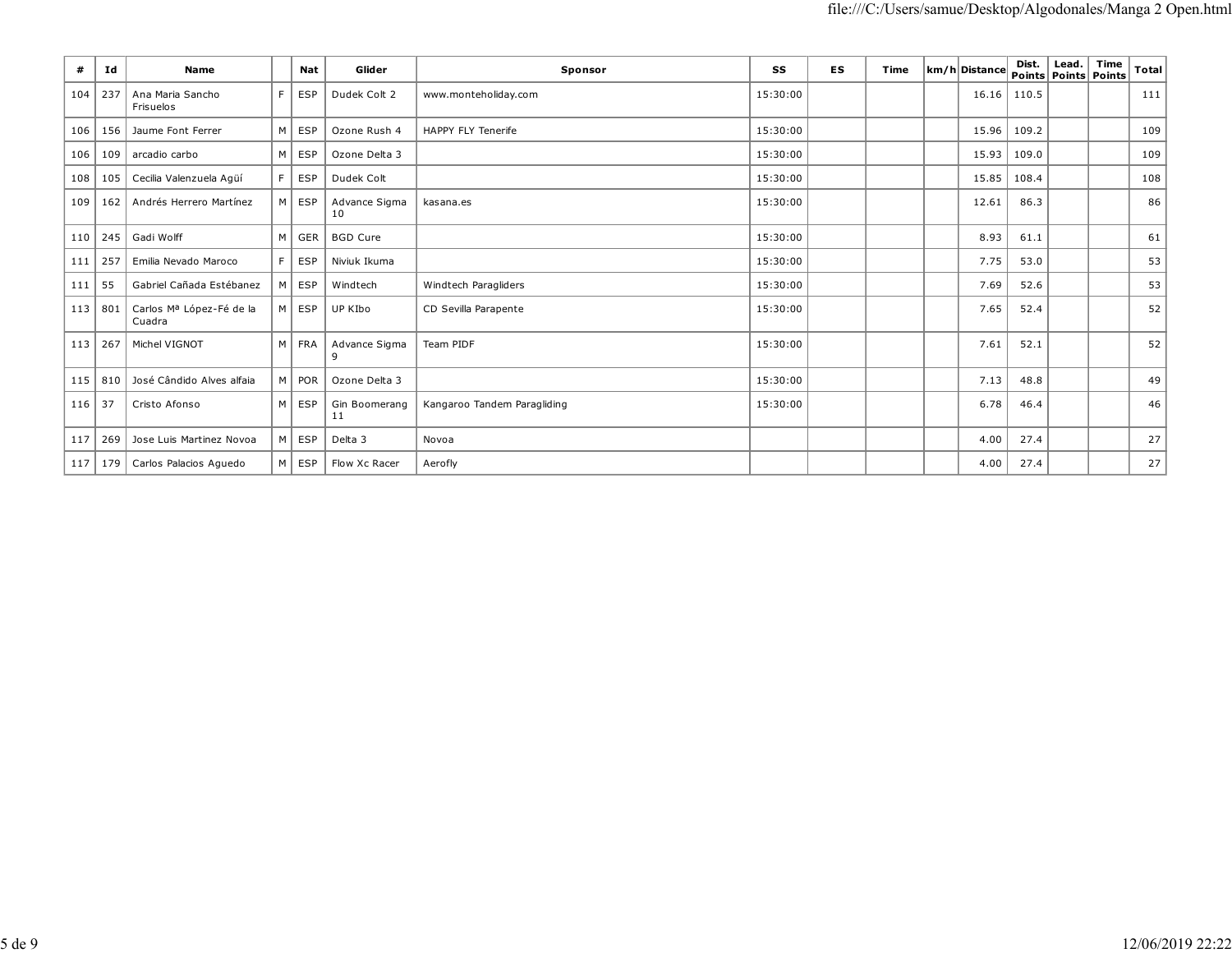| #   | Ιd  | Name                               |                | Nat           | Glider              | Sponsor                     | SS       | ES | Time | km/h Distance | Dist. | Lead.<br>Points   Points   Points | Time | <b>Total</b> |
|-----|-----|------------------------------------|----------------|---------------|---------------------|-----------------------------|----------|----|------|---------------|-------|-----------------------------------|------|--------------|
| 104 | 237 | Ana Maria Sancho<br>Frisuelos      | F              | ESP           | Dudek Colt 2        | www.monteholiday.com        | 15:30:00 |    |      | 16.16         | 110.5 |                                   |      | 111          |
| 106 | 156 | Jaume Font Ferrer                  | M <sub>1</sub> | ESP           | Ozone Rush 4        | <b>HAPPY FLY Tenerife</b>   | 15:30:00 |    |      | 15.96         | 109.2 |                                   |      | 109          |
| 106 | 109 | arcadio carbo                      | M <sub>1</sub> | ESP           | Ozone Delta 3       |                             | 15:30:00 |    |      | 15.93         | 109.0 |                                   |      | 109          |
| 108 | 105 | Cecilia Valenzuela Agüí            | F              | <b>ESP</b>    | Dudek Colt          |                             | 15:30:00 |    |      | 15.85         | 108.4 |                                   |      | 108          |
| 109 | 162 | Andrés Herrero Martínez            |                | $M \vert$ ESP | Advance Sigma<br>10 | kasana.es                   | 15:30:00 |    |      | 12.61         | 86.3  |                                   |      | 86           |
| 110 | 245 | Gadi Wolff                         | M              | GER           | <b>BGD Cure</b>     |                             | 15:30:00 |    |      | 8.93          | 61.1  |                                   |      | 61           |
| 111 | 257 | Emilia Nevado Maroco               | F              | ESP           | Niviuk Ikuma        |                             | 15:30:00 |    |      | 7.75          | 53.0  |                                   |      | 53           |
| 111 | 55  | Gabriel Cañada Estébanez           | M              | ESP           | Windtech            | Windtech Paragliders        | 15:30:00 |    |      | 7.69          | 52.6  |                                   |      | 53           |
| 113 | 801 | Carlos Mª López-Fé de la<br>Cuadra | мı             | ESP           | UP KIbo             | CD Sevilla Parapente        | 15:30:00 |    |      | 7.65          | 52.4  |                                   |      | 52           |
| 113 | 267 | Michel VIGNOT                      | M              | FRA           | Advance Sigma<br>9  | Team PIDF                   | 15:30:00 |    |      | 7.61          | 52.1  |                                   |      | 52           |
| 115 | 810 | José Cândido Alves alfaia          |                | $M$ POR       | Ozone Delta 3       |                             | 15:30:00 |    |      | 7.13          | 48.8  |                                   |      | 49           |
| 116 | 37  | Cristo Afonso                      | M <sub>1</sub> | ESP           | Gin Boomerang<br>11 | Kangaroo Tandem Paragliding | 15:30:00 |    |      | 6.78          | 46.4  |                                   |      | 46           |
| 117 | 269 | Jose Luis Martinez Novoa           | M <sub>1</sub> | ESP           | Delta 3             | Novoa                       |          |    |      | 4.00          | 27.4  |                                   |      | 27           |
| 117 |     | 179   Carlos Palacios Aguedo       |                | M ESP         | Flow Xc Racer       | Aerofly                     |          |    |      | 4.00          | 27.4  |                                   |      | 27           |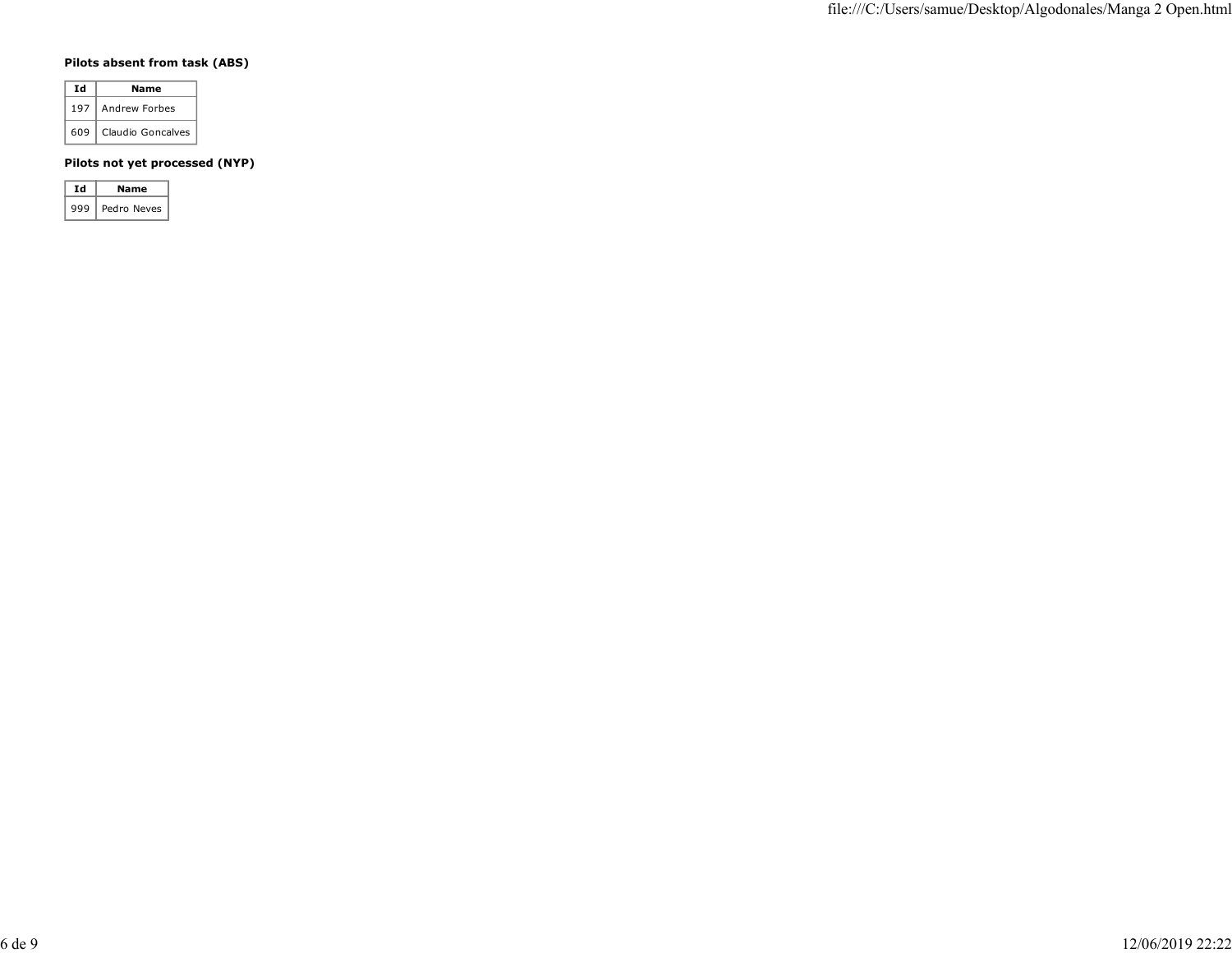## **Pilots absent from task (ABS)**

| Τd  | Name              |
|-----|-------------------|
| 197 | Andrew Forbes     |
| 609 | Claudio Goncalves |

## **Pilots not yet processed (NYP)**

| Td  | Name        |
|-----|-------------|
| 999 | Pedro Neves |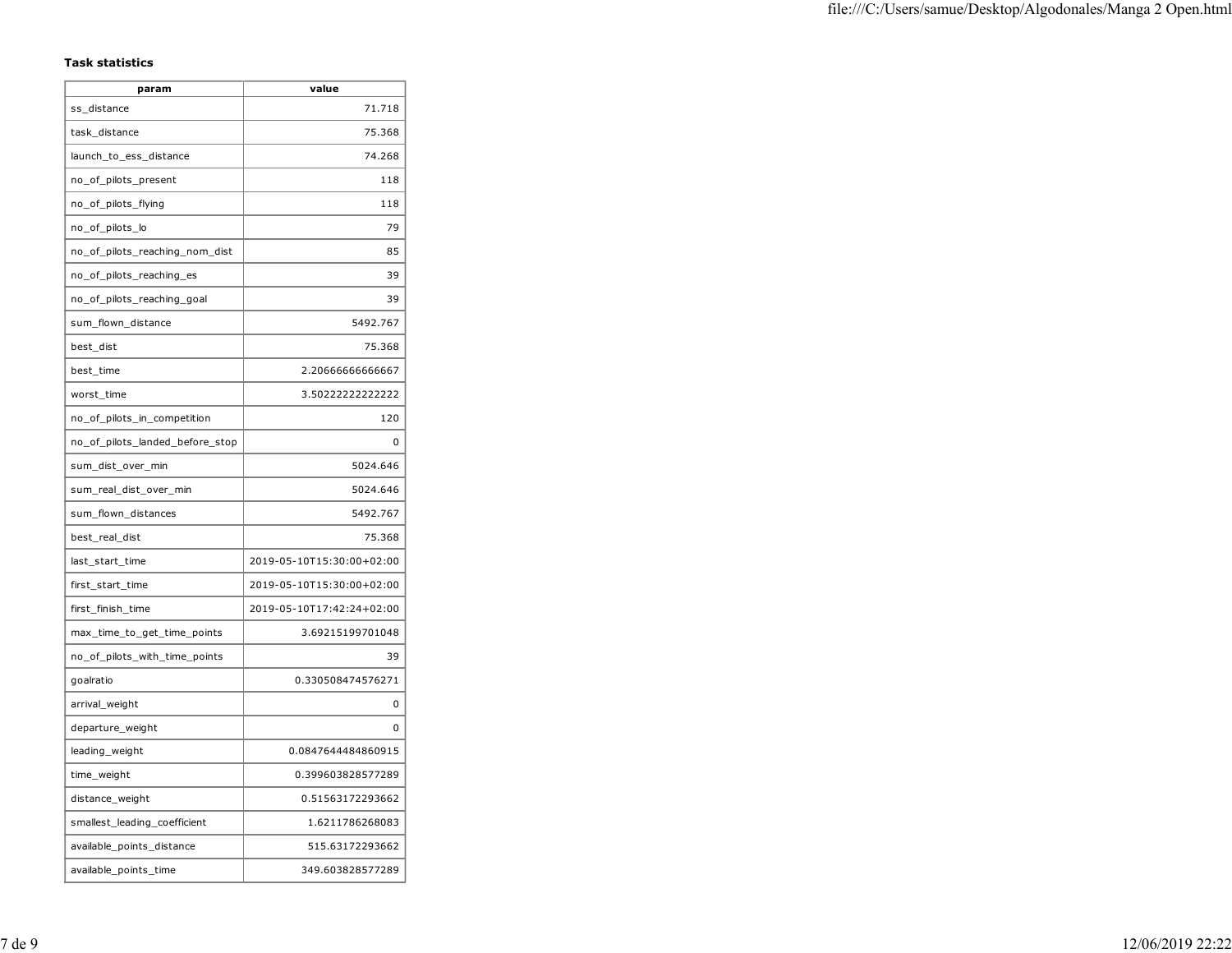### **Task statistics**

| param                           | value                     |
|---------------------------------|---------------------------|
| ss_distance                     | 71.718                    |
| task_distance                   | 75.368                    |
| launch_to_ess_distance          | 74.268                    |
| no_of_pilots_present            | 118                       |
| no_of_pilots_flying             | 118                       |
| no_of_pilots_lo                 | 79                        |
| no_of_pilots_reaching_nom_dist  | 85                        |
| no_of_pilots_reaching_es        | 39                        |
| no_of_pilots_reaching_goal      | 39                        |
| sum_flown_distance              | 5492.767                  |
| best_dist                       | 75.368                    |
| best_time                       | 2.2066666666667           |
| worst_time                      | 3.50222222222222          |
| no_of_pilots_in_competition     | 120                       |
| no_of_pilots_landed_before_stop | 0                         |
| sum_dist_over_min               | 5024.646                  |
| sum_real_dist_over_min          | 5024.646                  |
| sum_flown_distances             | 5492.767                  |
| best_real_dist                  | 75.368                    |
| last_start_time                 | 2019-05-10T15:30:00+02:00 |
| first_start_time                | 2019-05-10T15:30:00+02:00 |
| first_finish_time               | 2019-05-10T17:42:24+02:00 |
| max_time_to_get_time_points     | 3.69215199701048          |
| no_of_pilots_with_time_points   | 39                        |
| goalratio                       | 0.330508474576271         |
| arrival_weight                  | 0                         |
| departure_weight                | 0                         |
| leading_weight                  | 0.0847644484860915        |
| time_weight                     | 0.399603828577289         |
| distance_weight                 | 0.51563172293662          |
| smallest_leading_coefficient    | 1.6211786268083           |
| available_points_distance       | 515.63172293662           |
| available_points_time           | 349.603828577289          |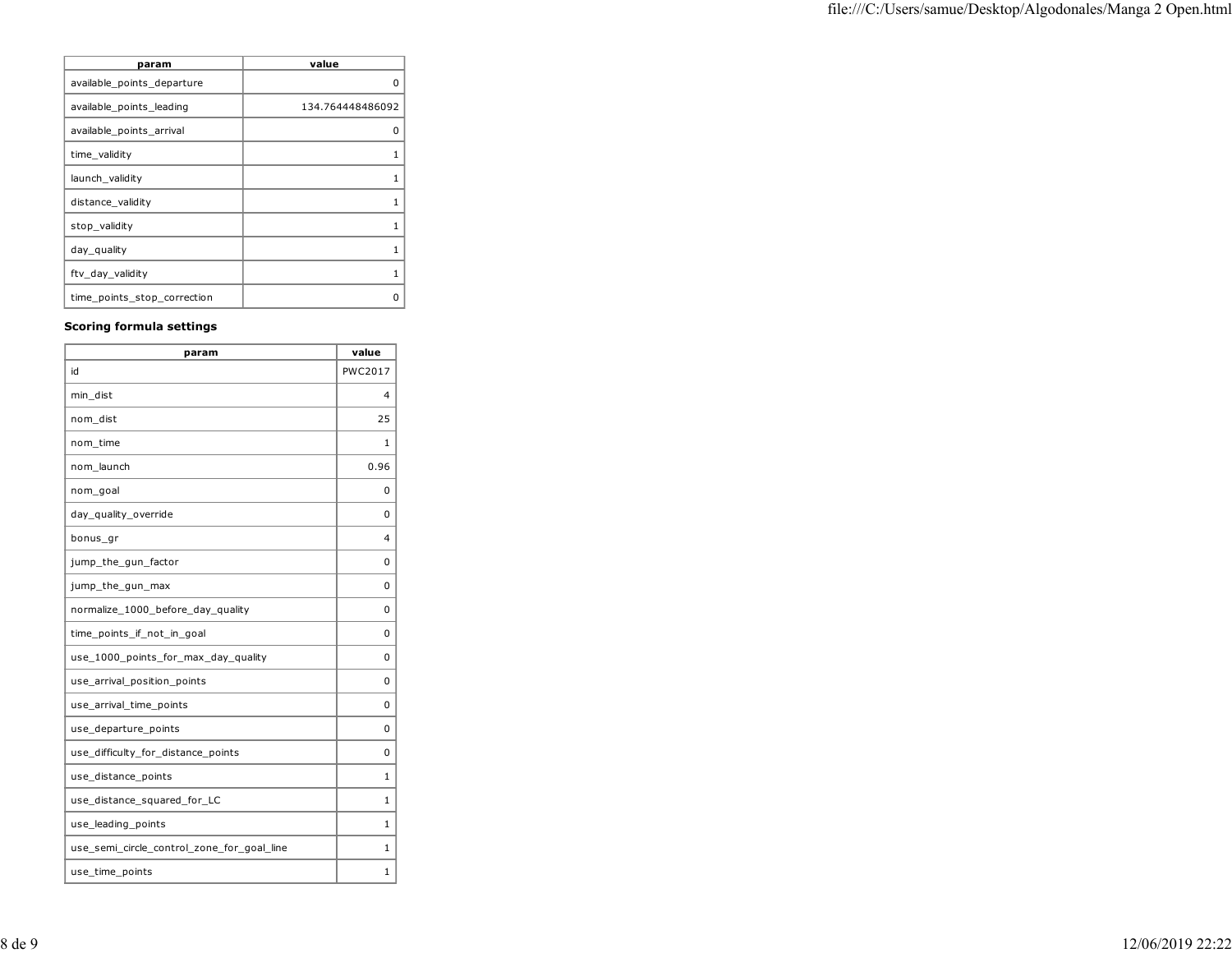| param                       | value            |
|-----------------------------|------------------|
| available_points_departure  | O                |
| available_points_leading    | 134.764448486092 |
| available_points_arrival    | O                |
| time validity               | 1                |
| launch_validity             |                  |
| distance_validity           | 1                |
| stop validity               |                  |
| day quality                 | 1                |
| ftv_day_validity            |                  |
| time points stop correction | O                |

### **Scoring formula settings**

| param                                      | value   |
|--------------------------------------------|---------|
| id                                         | PWC2017 |
| min_dist                                   | 4       |
| nom dist                                   | 25      |
| nom time                                   | 1       |
| nom_launch                                 | 0.96    |
| nom_goal                                   | 0       |
| day_quality_override                       | 0       |
| bonus_gr                                   | 4       |
| jump_the_gun_factor                        | 0       |
| jump_the_gun_max                           | 0       |
| normalize_1000_before_day_quality          | 0       |
| time_points_if_not_in_goal                 | 0       |
| use_1000_points_for_max_day_quality        | 0       |
| use_arrival_position_points                | 0       |
| use_arrival_time_points                    | 0       |
| use_departure_points                       | 0       |
| use_difficulty_for_distance_points         | 0       |
| use_distance_points                        | 1       |
| use_distance_squared_for_LC                | 1       |
| use_leading_points                         | 1       |
| use_semi_circle_control_zone_for_goal_line | 1       |
| use_time_points                            | 1       |